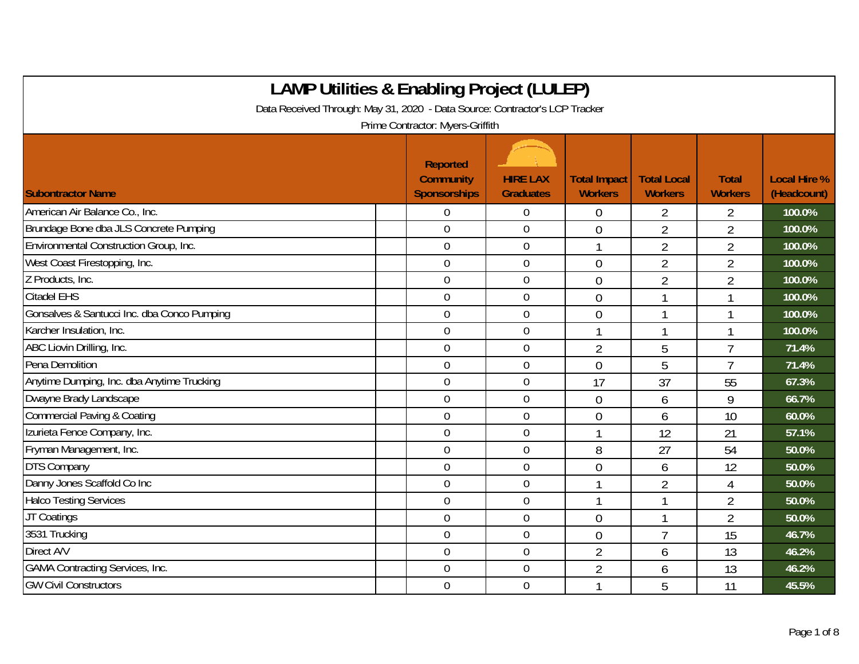| <b>LAMP Utilities &amp; Enabling Project (LULEP)</b>                        |                                                            |                                     |                                       |                                      |                                |                                    |
|-----------------------------------------------------------------------------|------------------------------------------------------------|-------------------------------------|---------------------------------------|--------------------------------------|--------------------------------|------------------------------------|
| Data Received Through: May 31, 2020 - Data Source: Contractor's LCP Tracker |                                                            |                                     |                                       |                                      |                                |                                    |
|                                                                             | Prime Contractor: Myers-Griffith                           |                                     |                                       |                                      |                                |                                    |
| <b>Subontractor Name</b>                                                    | <b>Reported</b><br><b>Community</b><br><b>Sponsorships</b> | <b>HIRE LAX</b><br><b>Graduates</b> | <b>Total Impact</b><br><b>Workers</b> | <b>Total Local</b><br><b>Workers</b> | <b>Total</b><br><b>Workers</b> | <b>Local Hire %</b><br>(Headcount) |
| American Air Balance Co., Inc.                                              | $\overline{0}$                                             | $\mathbf 0$                         | $\overline{0}$                        | $\overline{2}$                       | $\overline{2}$                 | 100.0%                             |
| Brundage Bone dba JLS Concrete Pumping                                      | $\overline{0}$                                             | $\mathbf 0$                         | $\overline{0}$                        | $\overline{2}$                       | $\overline{2}$                 | 100.0%                             |
| Environmental Construction Group, Inc.                                      | $\mathbf 0$                                                | $\mathbf 0$                         | $\mathbf{1}$                          | $\overline{2}$                       | $\overline{2}$                 | 100.0%                             |
| West Coast Firestopping, Inc.                                               | $\mathbf 0$                                                | $\mathbf 0$                         | $\overline{0}$                        | $\overline{2}$                       | $\overline{2}$                 | 100.0%                             |
| Z Products, Inc.                                                            | $\mathbf 0$                                                | $\mathbf 0$                         | $\overline{0}$                        | $\overline{2}$                       | $\overline{2}$                 | 100.0%                             |
| <b>Citadel EHS</b>                                                          | $\mathbf 0$                                                | $\boldsymbol{0}$                    | $\overline{0}$                        |                                      | 1                              | 100.0%                             |
| Gonsalves & Santucci Inc. dba Conco Pumping                                 | $\mathbf 0$                                                | $\mathbf 0$                         | $\overline{0}$                        |                                      | 1                              | 100.0%                             |
| Karcher Insulation, Inc.                                                    | $\overline{0}$                                             | $\theta$                            |                                       |                                      | 1                              | 100.0%                             |
| ABC Liovin Drilling, Inc.                                                   | $\overline{0}$                                             | $\overline{0}$                      | $\overline{2}$                        | 5                                    | $\overline{1}$                 | 71.4%                              |
| Pena Demolition                                                             | $\overline{0}$                                             | $\overline{0}$                      | $\Omega$                              | 5                                    | $\overline{1}$                 | 71.4%                              |
| Anytime Dumping, Inc. dba Anytime Trucking                                  | $\mathbf 0$                                                | $\overline{0}$                      | 17                                    | 37                                   | 55                             | 67.3%                              |
| Dwayne Brady Landscape                                                      | $\mathbf 0$                                                | $\overline{0}$                      | $\overline{0}$                        | 6                                    | 9                              | 66.7%                              |
| <b>Commercial Paving &amp; Coating</b>                                      | $\overline{0}$                                             | $\mathbf 0$                         | $\overline{0}$                        | 6                                    | 10                             | 60.0%                              |
| Izurieta Fence Company, Inc.                                                | $\overline{0}$                                             | $\mathbf 0$                         |                                       | 12                                   | 21                             | 57.1%                              |
| Fryman Management, Inc.                                                     | $\overline{0}$                                             | $\mathbf 0$                         | 8                                     | 27                                   | 54                             | 50.0%                              |
| <b>DTS Company</b>                                                          | $\mathbf 0$                                                | $\mathbf 0$                         | $\overline{0}$                        | 6                                    | 12                             | 50.0%                              |
| Danny Jones Scaffold Co Inc                                                 | $\mathbf 0$                                                | $\mathbf 0$                         | $\mathbf{1}$                          | $\overline{2}$                       | $\overline{4}$                 | 50.0%                              |
| <b>Halco Testing Services</b>                                               | $\mathbf 0$                                                | $\mathbf 0$                         |                                       |                                      | $\overline{2}$                 | 50.0%                              |
| JT Coatings                                                                 | $\mathbf 0$                                                | $\mathbf 0$                         | $\overline{0}$                        |                                      | $\overline{2}$                 | 50.0%                              |
| 3531 Trucking                                                               | $\overline{0}$                                             | $\mathbf 0$                         | $\overline{0}$                        | $\overline{7}$                       | 15                             | 46.7%                              |
| Direct A/V                                                                  | $\overline{0}$                                             | $\mathbf 0$                         | $\overline{2}$                        | 6                                    | 13                             | 46.2%                              |
| <b>GAMA Contracting Services, Inc.</b>                                      | $\overline{0}$                                             | $\mathbf 0$                         | $\overline{2}$                        | 6                                    | 13                             | 46.2%                              |
| <b>GW Civil Constructors</b>                                                | $\overline{0}$                                             | $\overline{0}$                      | 1                                     | 5                                    | 11                             | 45.5%                              |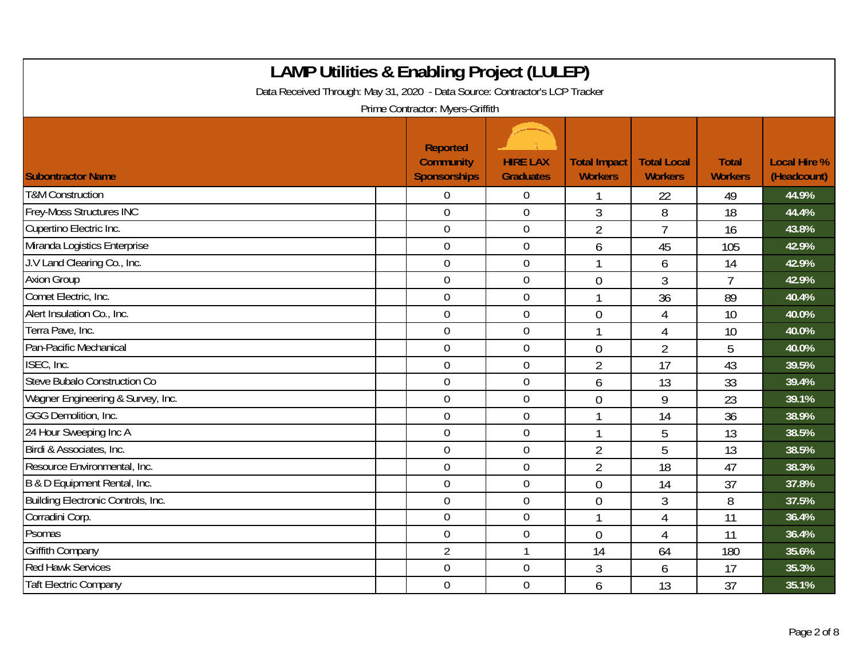| <b>LAMP Utilities &amp; Enabling Project (LULEP)</b><br>Data Received Through: May 31, 2020 - Data Source: Contractor's LCP Tracker |  |                                                            |                                     |                                       |                                      |                                |                                    |  |  |
|-------------------------------------------------------------------------------------------------------------------------------------|--|------------------------------------------------------------|-------------------------------------|---------------------------------------|--------------------------------------|--------------------------------|------------------------------------|--|--|
|                                                                                                                                     |  | Prime Contractor: Myers-Griffith                           |                                     |                                       |                                      |                                |                                    |  |  |
| <b>Subontractor Name</b>                                                                                                            |  | <b>Reported</b><br><b>Community</b><br><b>Sponsorships</b> | <b>HIRE LAX</b><br><b>Graduates</b> | <b>Total Impact</b><br><b>Workers</b> | <b>Total Local</b><br><b>Workers</b> | <b>Total</b><br><b>Workers</b> | <b>Local Hire %</b><br>(Headcount) |  |  |
| <b>T&amp;M Construction</b>                                                                                                         |  | 0                                                          | $\boldsymbol{0}$                    |                                       | 22                                   | 49                             | 44.9%                              |  |  |
| <b>Frey-Moss Structures INC</b>                                                                                                     |  | $\overline{0}$                                             | $\overline{0}$                      | 3                                     | 8                                    | 18                             | 44.4%                              |  |  |
| Cupertino Electric Inc.                                                                                                             |  | $\overline{0}$                                             | $\boldsymbol{0}$                    | $\overline{2}$                        | $\overline{7}$                       | 16                             | 43.8%                              |  |  |
| Miranda Logistics Enterprise                                                                                                        |  | $\mathbf 0$                                                | $\boldsymbol{0}$                    | 6                                     | 45                                   | 105                            | 42.9%                              |  |  |
| J.V Land Clearing Co., Inc.                                                                                                         |  | $\overline{0}$                                             | $\mathbf 0$                         |                                       | 6                                    | 14                             | 42.9%                              |  |  |
| <b>Axion Group</b>                                                                                                                  |  | $\mathbf 0$                                                | $\boldsymbol{0}$                    | $\overline{0}$                        | 3                                    | $\overline{7}$                 | 42.9%                              |  |  |
| Comet Electric, Inc.                                                                                                                |  | $\mathbf 0$                                                | $\mathbf 0$                         |                                       | 36                                   | 89                             | 40.4%                              |  |  |
| Alert Insulation Co., Inc.                                                                                                          |  | $\overline{0}$                                             | $\mathbf 0$                         | $\mathbf 0$                           | 4                                    | 10                             | 40.0%                              |  |  |
| Terra Pave, Inc.                                                                                                                    |  | $\overline{0}$                                             | $\boldsymbol{0}$                    |                                       | 4                                    | 10                             | 40.0%                              |  |  |
| Pan-Pacific Mechanical                                                                                                              |  | $\mathbf 0$                                                | $\mathbf 0$                         | $\overline{0}$                        | $\overline{2}$                       | 5                              | 40.0%                              |  |  |
| ISEC, Inc.                                                                                                                          |  | $\mathbf 0$                                                | $\mathbf 0$                         | $\overline{2}$                        | 17                                   | 43                             | 39.5%                              |  |  |
| Steve Bubalo Construction Co                                                                                                        |  | $\mathbf 0$                                                | $\mathbf 0$                         | 6                                     | 13                                   | 33                             | 39.4%                              |  |  |
| Wagner Engineering & Survey, Inc.                                                                                                   |  | $\overline{0}$                                             | $\mathbf 0$                         | $\overline{0}$                        | 9                                    | 23                             | 39.1%                              |  |  |
| GGG Demolition, Inc.                                                                                                                |  | $\overline{0}$                                             | $\overline{0}$                      |                                       | 14                                   | 36                             | 38.9%                              |  |  |
| 24 Hour Sweeping Inc A                                                                                                              |  | $\overline{0}$                                             | $\boldsymbol{0}$                    |                                       | 5                                    | 13                             | 38.5%                              |  |  |
| Birdi & Associates, Inc.                                                                                                            |  | $\overline{0}$                                             | $\mathbf 0$                         | $\overline{2}$                        | 5                                    | 13                             | 38.5%                              |  |  |
| Resource Environmental, Inc.                                                                                                        |  | $\mathbf 0$                                                | $\boldsymbol{0}$                    | $\overline{2}$                        | 18                                   | 47                             | 38.3%                              |  |  |
| B & D Equipment Rental, Inc.                                                                                                        |  | $\theta$                                                   | $\mathbf 0$                         | $\overline{0}$                        | 14                                   | 37                             | 37.8%                              |  |  |
| Building Electronic Controls, Inc.                                                                                                  |  | $\overline{0}$                                             | $\mathbf 0$                         | $\theta$                              | 3                                    | 8                              | 37.5%                              |  |  |
| Corradini Corp.                                                                                                                     |  | $\mathbf 0$                                                | $\boldsymbol{0}$                    |                                       | 4                                    | 11                             | 36.4%                              |  |  |
| Psomas                                                                                                                              |  | $\mathbf 0$                                                | $\mathbf 0$                         | $\overline{0}$                        | 4                                    | 11                             | 36.4%                              |  |  |
| <b>Griffith Company</b>                                                                                                             |  | $\overline{2}$                                             | $\mathbf{1}$                        | 14                                    | 64                                   | 180                            | 35.6%                              |  |  |
| <b>Red Hawk Services</b>                                                                                                            |  | $\mathbf 0$                                                | $\boldsymbol{0}$                    | 3                                     | 6                                    | 17                             | 35.3%                              |  |  |
| <b>Taft Electric Company</b>                                                                                                        |  | $\mathbf 0$                                                | $\mathbf 0$                         | 6                                     | 13                                   | 37                             | 35.1%                              |  |  |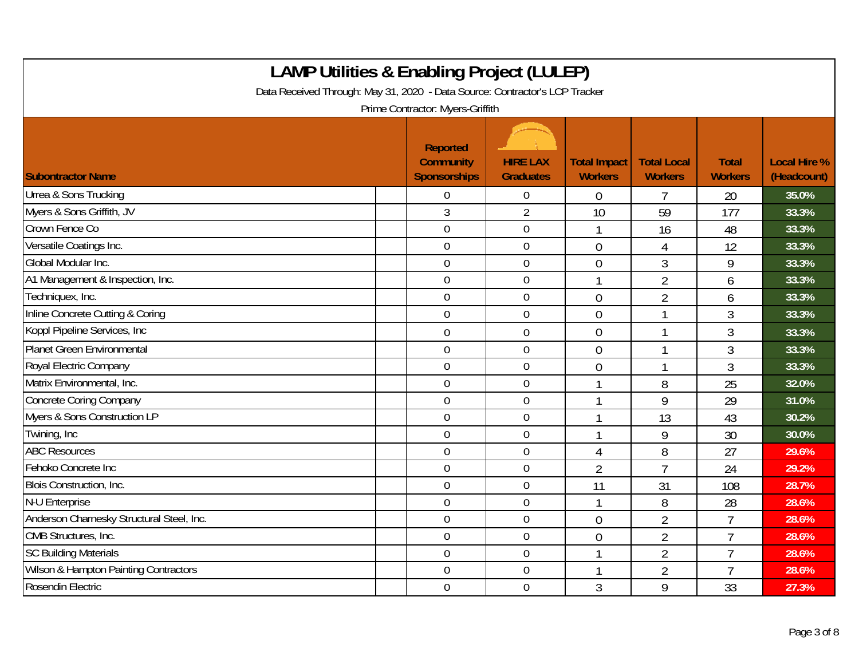| <b>LAMP Utilities &amp; Enabling Project (LULEP)</b><br>Data Received Through: May 31, 2020 - Data Source: Contractor's LCP Tracker<br>Prime Contractor: Myers-Griffith |                                                            |                                     |                                       |                                      |                                |                                    |  |  |  |
|-------------------------------------------------------------------------------------------------------------------------------------------------------------------------|------------------------------------------------------------|-------------------------------------|---------------------------------------|--------------------------------------|--------------------------------|------------------------------------|--|--|--|
| <b>Subontractor Name</b>                                                                                                                                                | <b>Reported</b><br><b>Community</b><br><b>Sponsorships</b> | <b>HIRE LAX</b><br><b>Graduates</b> | <b>Total Impact</b><br><b>Workers</b> | <b>Total Local</b><br><b>Workers</b> | <b>Total</b><br><b>Workers</b> | <b>Local Hire %</b><br>(Headcount) |  |  |  |
| Urrea & Sons Trucking                                                                                                                                                   | 0                                                          | $\theta$                            | $\theta$                              |                                      | 20                             | 35.0%                              |  |  |  |
| Myers & Sons Griffith, JV                                                                                                                                               | 3                                                          | $\overline{2}$                      | 10                                    | 59                                   | 177                            | 33.3%                              |  |  |  |
| Crown Fence Co                                                                                                                                                          | $\mathbf 0$                                                | $\overline{0}$                      | $\mathbf 1$                           | 16                                   | 48                             | 33.3%                              |  |  |  |
| Versatile Coatings Inc.                                                                                                                                                 | $\mathbf 0$                                                | $\overline{0}$                      | $\Omega$                              | 4                                    | 12                             | 33.3%                              |  |  |  |
| Global Modular Inc.                                                                                                                                                     | $\overline{0}$                                             | $\overline{0}$                      | $\overline{0}$                        | 3                                    | 9                              | 33.3%                              |  |  |  |
| A1 Management & Inspection, Inc.                                                                                                                                        | $\overline{0}$                                             | $\overline{0}$                      |                                       | $\overline{2}$                       | 6                              | 33.3%                              |  |  |  |
| Techniquex, Inc.                                                                                                                                                        | 0                                                          | $\overline{0}$                      | $\theta$                              | $\overline{2}$                       | 6                              | 33.3%                              |  |  |  |
| Inline Concrete Cutting & Coring                                                                                                                                        | 0                                                          | $\overline{0}$                      | $\overline{0}$                        | 1                                    | $\overline{3}$                 | 33.3%                              |  |  |  |
| Koppl Pipeline Services, Inc                                                                                                                                            | 0                                                          | $\overline{0}$                      | $\overline{0}$                        | 1                                    | 3                              | 33.3%                              |  |  |  |
| <b>Planet Green Environmental</b>                                                                                                                                       | $\overline{0}$                                             | $\overline{0}$                      | $\theta$                              | 1                                    | 3                              | 33.3%                              |  |  |  |
| Royal Electric Company                                                                                                                                                  | 0                                                          | $\overline{0}$                      | $\theta$                              | 1                                    | 3                              | 33.3%                              |  |  |  |
| Matrix Environmental, Inc.                                                                                                                                              | $\overline{0}$                                             | $\overline{0}$                      |                                       | 8                                    | 25                             | 32.0%                              |  |  |  |
| <b>Concrete Coring Company</b>                                                                                                                                          | $\mathbf 0$                                                | $\overline{0}$                      |                                       | 9                                    | 29                             | 31.0%                              |  |  |  |
| Myers & Sons Construction LP                                                                                                                                            | $\overline{0}$                                             | $\overline{0}$                      |                                       | 13                                   | 43                             | 30.2%                              |  |  |  |
| Twining, Inc                                                                                                                                                            | 0                                                          | $\boldsymbol{0}$                    | 1                                     | 9                                    | 30                             | 30.0%                              |  |  |  |
| <b>ABC Resources</b>                                                                                                                                                    | $\overline{0}$                                             | $\overline{0}$                      | 4                                     | 8                                    | 27                             | 29.6%                              |  |  |  |
| Fehoko Concrete Inc                                                                                                                                                     | $\overline{0}$                                             | $\mathbf 0$                         | $\overline{2}$                        | $\overline{7}$                       | 24                             | 29.2%                              |  |  |  |
| Blois Construction, Inc.                                                                                                                                                | 0                                                          | $\overline{0}$                      | 11                                    | 31                                   | 108                            | 28.7%                              |  |  |  |
| N-U Enterprise                                                                                                                                                          | $\mathbf 0$                                                | $\overline{0}$                      | $\mathbf 1$                           | 8                                    | 28                             | 28.6%                              |  |  |  |
| Anderson Charnesky Structural Steel, Inc.                                                                                                                               | $\overline{0}$                                             | $\overline{0}$                      | $\theta$                              | $\overline{2}$                       | $\overline{7}$                 | 28.6%                              |  |  |  |
| CMB Structures, Inc.                                                                                                                                                    | $\mathbf 0$                                                | $\boldsymbol{0}$                    | $\overline{0}$                        | $\overline{2}$                       | $\overline{7}$                 | 28.6%                              |  |  |  |
| <b>SC Building Materials</b>                                                                                                                                            | $\overline{0}$                                             | $\overline{0}$                      | $\mathbf 1$                           | $\overline{2}$                       | $\overline{7}$                 | 28.6%                              |  |  |  |
| <b>Wilson &amp; Hampton Painting Contractors</b>                                                                                                                        | 0                                                          | $\mathbf 0$                         |                                       | $\overline{2}$                       | $\overline{7}$                 | 28.6%                              |  |  |  |
| Rosendin Electric                                                                                                                                                       | 0                                                          | $\overline{0}$                      | 3                                     | 9                                    | 33                             | 27.3%                              |  |  |  |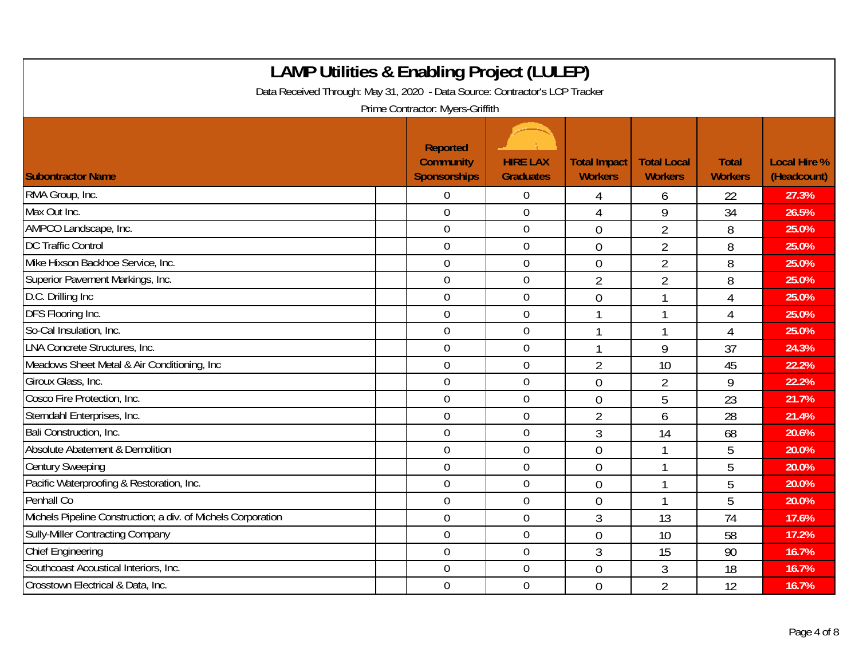| <b>LAMP Utilities &amp; Enabling Project (LULEP)</b><br>Data Received Through: May 31, 2020 - Data Source: Contractor's LCP Tracker<br>Prime Contractor: Myers-Griffith |                                              |                                     |                                       |                                      |                                |                                    |  |  |  |
|-------------------------------------------------------------------------------------------------------------------------------------------------------------------------|----------------------------------------------|-------------------------------------|---------------------------------------|--------------------------------------|--------------------------------|------------------------------------|--|--|--|
| <b>Subontractor Name</b>                                                                                                                                                | Reported<br><b>Community</b><br>Sponsorships | <b>HIRE LAX</b><br><b>Graduates</b> | <b>Total Impact</b><br><b>Workers</b> | <b>Total Local</b><br><b>Workers</b> | <b>Total</b><br><b>Workers</b> | <b>Local Hire %</b><br>(Headcount) |  |  |  |
| RMA Group, Inc.                                                                                                                                                         | $\Omega$                                     | $\overline{0}$                      | 4                                     | 6                                    | 22                             | 27.3%                              |  |  |  |
| Max Out Inc.                                                                                                                                                            | $\overline{0}$                               | $\overline{0}$                      | $\overline{4}$                        | 9                                    | 34                             | 26.5%                              |  |  |  |
| AMPCO Landscape, Inc.                                                                                                                                                   | $\mathbf 0$                                  | $\boldsymbol{0}$                    | $\overline{0}$                        | $\overline{2}$                       | 8                              | 25.0%                              |  |  |  |
| <b>DC Traffic Control</b>                                                                                                                                               | $\overline{0}$                               | $\mathbf 0$                         | $\theta$                              | $\overline{2}$                       | 8                              | 25.0%                              |  |  |  |
| Mike Hixson Backhoe Service, Inc.                                                                                                                                       | $\overline{0}$                               | $\mathbf 0$                         | $\overline{0}$                        | $\overline{2}$                       | 8                              | 25.0%                              |  |  |  |
| Superior Pavement Markings, Inc.                                                                                                                                        | $\overline{0}$                               | $\boldsymbol{0}$                    | $\overline{2}$                        | $\overline{2}$                       | 8                              | 25.0%                              |  |  |  |
| D.C. Drilling Inc                                                                                                                                                       | $\overline{0}$                               | $\mathbf 0$                         | $\overline{0}$                        | $\mathbf 1$                          | 4                              | 25.0%                              |  |  |  |
| DFS Flooring Inc.                                                                                                                                                       | $\overline{0}$                               | $\mathbf 0$                         |                                       |                                      | 4                              | 25.0%                              |  |  |  |
| So-Cal Insulation, Inc.                                                                                                                                                 | $\mathbf 0$                                  | $\mathbf 0$                         | 1                                     | 1                                    | 4                              | 25.0%                              |  |  |  |
| <b>LNA Concrete Structures, Inc.</b>                                                                                                                                    | $\mathbf 0$                                  | $\mathbf 0$                         | $\mathbf{1}$                          | 9                                    | 37                             | 24.3%                              |  |  |  |
| Meadows Sheet Metal & Air Conditioning, Inc                                                                                                                             | $\overline{0}$                               | $\mathbf 0$                         | $\overline{2}$                        | 10                                   | 45                             | 22.2%                              |  |  |  |
| Giroux Glass, Inc.                                                                                                                                                      | $\overline{0}$                               | $\mathbf 0$                         | $\overline{0}$                        | $\overline{2}$                       | 9                              | 22.2%                              |  |  |  |
| Cosco Fire Protection, Inc.                                                                                                                                             | $\overline{0}$                               | $\overline{0}$                      | $\mathbf{0}$                          | 5                                    | 23                             | 21.7%                              |  |  |  |
| Sterndahl Enterprises, Inc.                                                                                                                                             | $\mathbf 0$                                  | $\mathbf 0$                         | $\overline{2}$                        | 6                                    | 28                             | 21.4%                              |  |  |  |
| Bali Construction, Inc.                                                                                                                                                 | $\mathbf 0$                                  | $\boldsymbol{0}$                    | $\mathfrak{Z}$                        | 14                                   | 68                             | 20.6%                              |  |  |  |
| Absolute Abatement & Demolition                                                                                                                                         | $\mathbf 0$                                  | $\mathbf 0$                         | $\mathbf 0$                           | $\mathbf 1$                          | 5                              | 20.0%                              |  |  |  |
| <b>Century Sweeping</b>                                                                                                                                                 | $\mathbf 0$                                  | $\mathbf 0$                         | $\overline{0}$                        |                                      | 5                              | 20.0%                              |  |  |  |
| Pacific Waterproofing & Restoration, Inc.                                                                                                                               | $\mathbf 0$                                  | $\mathbf 0$                         | $\overline{0}$                        |                                      | 5                              | 20.0%                              |  |  |  |
| Penhall Co                                                                                                                                                              | $\mathbf 0$                                  | $\mathbf 0$                         | $\overline{0}$                        |                                      | 5                              | 20.0%                              |  |  |  |
| Michels Pipeline Construction; a div. of Michels Corporation                                                                                                            | $\overline{0}$                               | $\boldsymbol{0}$                    | $\mathfrak{Z}$                        | 13                                   | 74                             | 17.6%                              |  |  |  |
| <b>Sully-Miller Contracting Company</b>                                                                                                                                 | $\mathbf 0$                                  | $\boldsymbol{0}$                    | $\overline{0}$                        | 10                                   | 58                             | 17.2%                              |  |  |  |
| <b>Chief Engineering</b>                                                                                                                                                | $\mathbf 0$                                  | $\mathbf 0$                         | $\mathfrak{Z}$                        | 15                                   | 90                             | 16.7%                              |  |  |  |
| Southcoast Acoustical Interiors, Inc.                                                                                                                                   | $\overline{0}$                               | $\mathbf 0$                         | $\theta$                              | 3                                    | 18                             | 16.7%                              |  |  |  |
| Crosstown Electrical & Data, Inc.                                                                                                                                       | $\mathbf 0$                                  | $\mathbf 0$                         | $\overline{0}$                        | $\overline{2}$                       | 12                             | 16.7%                              |  |  |  |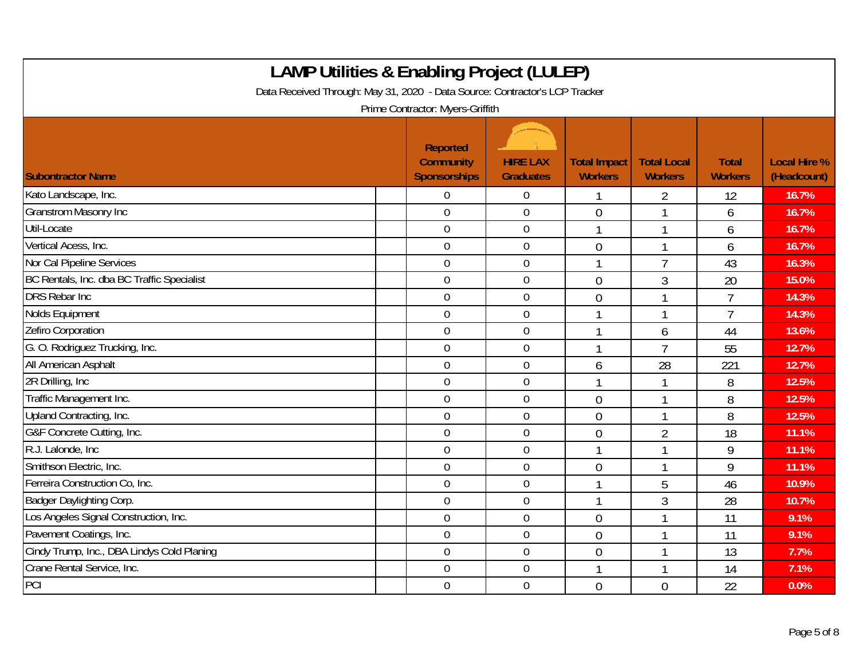| <b>LAMP Utilities &amp; Enabling Project (LULEP)</b><br>Data Received Through: May 31, 2020 - Data Source: Contractor's LCP Tracker<br>Prime Contractor: Myers-Griffith |                                                     |                                     |                                       |                                      |                                |                                    |  |  |  |
|-------------------------------------------------------------------------------------------------------------------------------------------------------------------------|-----------------------------------------------------|-------------------------------------|---------------------------------------|--------------------------------------|--------------------------------|------------------------------------|--|--|--|
| <b>Subontractor Name</b>                                                                                                                                                | Reported<br><b>Community</b><br><b>Sponsorships</b> | <b>HIRE LAX</b><br><b>Graduates</b> | <b>Total Impact</b><br><b>Workers</b> | <b>Total Local</b><br><b>Workers</b> | <b>Total</b><br><b>Workers</b> | <b>Local Hire %</b><br>(Headcount) |  |  |  |
| Kato Landscape, Inc.                                                                                                                                                    | $\Omega$                                            | $\mathbf 0$                         | 1                                     | 2                                    | 12                             | 16.7%                              |  |  |  |
| <b>Granstrom Masonry Inc</b>                                                                                                                                            | $\overline{0}$                                      | $\mathbf 0$                         | $\overline{0}$                        |                                      | 6                              | 16.7%                              |  |  |  |
| Util-Locate                                                                                                                                                             | $\mathbf 0$                                         | $\boldsymbol{0}$                    | $\mathbf{1}$                          | 1                                    | 6                              | 16.7%                              |  |  |  |
| Vertical Acess, Inc.                                                                                                                                                    | $\mathbf 0$                                         | $\boldsymbol{0}$                    | $\overline{0}$                        | $\mathbf 1$                          | 6                              | 16.7%                              |  |  |  |
| Nor Cal Pipeline Services                                                                                                                                               | $\overline{0}$                                      | $\mathbf 0$                         | 1                                     | $\overline{7}$                       | 43                             | 16.3%                              |  |  |  |
| BC Rentals, Inc. dba BC Traffic Specialist                                                                                                                              | $\mathbf 0$                                         | $\mathbf 0$                         | $\overline{0}$                        | 3                                    | 20                             | 15.0%                              |  |  |  |
| <b>DRS Rebar Inc</b>                                                                                                                                                    | $\mathbf 0$                                         | $\mathbf 0$                         | $\overline{0}$                        |                                      | $\overline{7}$                 | 14.3%                              |  |  |  |
| Nolds Equipment                                                                                                                                                         | $\mathbf 0$                                         | $\mathbf 0$                         |                                       |                                      | $\overline{7}$                 | 14.3%                              |  |  |  |
| Zefiro Corporation                                                                                                                                                      | $\mathbf 0$                                         | $\mathbf 0$                         | $\mathbf{1}$                          | 6                                    | 44                             | 13.6%                              |  |  |  |
| G. O. Rodriguez Trucking, Inc.                                                                                                                                          | $\mathbf 0$                                         | $\mathbf 0$                         | $\mathbf 1$                           | $\overline{7}$                       | 55                             | 12.7%                              |  |  |  |
| All American Asphalt                                                                                                                                                    | $\overline{0}$                                      | $\mathbf 0$                         | 6                                     | 28                                   | 221                            | 12.7%                              |  |  |  |
| 2R Drilling, Inc.                                                                                                                                                       | $\overline{0}$                                      | $\boldsymbol{0}$                    |                                       |                                      | 8                              | 12.5%                              |  |  |  |
| Traffic Management Inc.                                                                                                                                                 | $\mathbf 0$                                         | $\mathbf 0$                         | $\overline{0}$                        |                                      | 8                              | 12.5%                              |  |  |  |
| Upland Contracting, Inc.                                                                                                                                                | $\overline{0}$                                      | $\mathbf 0$                         | $\overline{0}$                        |                                      | 8                              | 12.5%                              |  |  |  |
| G&F Concrete Cutting, Inc.                                                                                                                                              | $\mathbf 0$                                         | $\mathbf 0$                         | $\overline{0}$                        | $\overline{2}$                       | 18                             | 11.1%                              |  |  |  |
| R.J. Lalonde, Inc.                                                                                                                                                      | $\boldsymbol{0}$                                    | $\boldsymbol{0}$                    | 1                                     |                                      | 9                              | 11.1%                              |  |  |  |
| Smithson Electric, Inc.                                                                                                                                                 | $\overline{0}$                                      | $\mathbf 0$                         | $\theta$                              |                                      | 9                              | 11.1%                              |  |  |  |
| Ferreira Construction Co, Inc.                                                                                                                                          | $\overline{0}$                                      | $\mathbf 0$                         |                                       | 5                                    | 46                             | 10.9%                              |  |  |  |
| Badger Daylighting Corp.                                                                                                                                                | $\mathbf 0$                                         | $\mathbf 0$                         | $\mathbf 1$                           | 3                                    | 28                             | 10.7%                              |  |  |  |
| Los Angeles Signal Construction, Inc.                                                                                                                                   | $\mathbf 0$                                         | $\mathbf 0$                         | $\theta$                              |                                      | 11                             | 9.1%                               |  |  |  |
| Pavement Coatings, Inc.                                                                                                                                                 | $\mathbf 0$                                         | $\mathbf 0$                         | $\mathbf{0}$                          |                                      | 11                             | 9.1%                               |  |  |  |
| Cindy Trump, Inc., DBA Lindys Cold Planing                                                                                                                              | $\boldsymbol{0}$                                    | $\boldsymbol{0}$                    | $\mathbf 0$                           | 1                                    | 13                             | 7.7%                               |  |  |  |
| Crane Rental Service, Inc.                                                                                                                                              | $\overline{0}$                                      | $\mathbf 0$                         | $\mathbf{1}$                          | 1                                    | 14                             | 7.1%                               |  |  |  |
| PCI                                                                                                                                                                     | $\overline{0}$                                      | $\mathbf 0$                         | $\overline{0}$                        | $\overline{0}$                       | 22                             | 0.0%                               |  |  |  |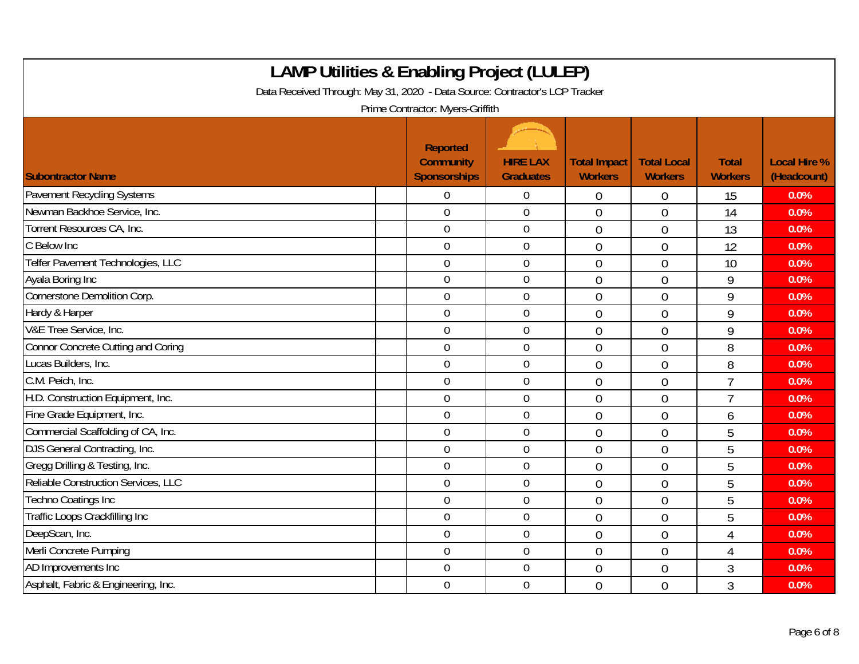| <b>LAMP Utilities &amp; Enabling Project (LULEP)</b><br>Data Received Through: May 31, 2020 - Data Source: Contractor's LCP Tracker<br>Prime Contractor: Myers-Griffith |  |                                                     |                                     |                                       |                                      |                                |                                    |  |  |
|-------------------------------------------------------------------------------------------------------------------------------------------------------------------------|--|-----------------------------------------------------|-------------------------------------|---------------------------------------|--------------------------------------|--------------------------------|------------------------------------|--|--|
| <b>Subontractor Name</b>                                                                                                                                                |  | Reported<br><b>Community</b><br><b>Sponsorships</b> | <b>HIRE LAX</b><br><b>Graduates</b> | <b>Total Impact</b><br><b>Workers</b> | <b>Total Local</b><br><b>Workers</b> | <b>Total</b><br><b>Workers</b> | <b>Local Hire %</b><br>(Headcount) |  |  |
| Pavement Recycling Systems                                                                                                                                              |  | $\overline{0}$                                      | $\overline{0}$                      | $\boldsymbol{0}$                      | 0                                    | 15                             | 0.0%                               |  |  |
| Newman Backhoe Service, Inc.                                                                                                                                            |  | $\mathbf 0$                                         | $\mathbf 0$                         | $\overline{0}$                        | $\overline{0}$                       | 14                             | 0.0%                               |  |  |
| Torrent Resources CA, Inc.                                                                                                                                              |  | $\mathbf 0$                                         | $\boldsymbol{0}$                    | $\overline{0}$                        | $\overline{0}$                       | 13                             | 0.0%                               |  |  |
| C Below Inc                                                                                                                                                             |  | $\mathbf 0$                                         | $\mathbf 0$                         | $\overline{0}$                        | $\overline{0}$                       | 12                             | 0.0%                               |  |  |
| Telfer Pavement Technologies, LLC                                                                                                                                       |  | $\overline{0}$                                      | $\mathbf 0$                         | $\overline{0}$                        | $\overline{0}$                       | 10                             | 0.0%                               |  |  |
| Ayala Boring Inc                                                                                                                                                        |  | $\mathbf 0$                                         | $\mathbf 0$                         | $\Omega$                              | $\overline{0}$                       | 9                              | 0.0%                               |  |  |
| Cornerstone Demolition Corp.                                                                                                                                            |  | $\overline{0}$                                      | $\overline{0}$                      | $\overline{0}$                        | $\overline{0}$                       | 9                              | 0.0%                               |  |  |
| Hardy & Harper                                                                                                                                                          |  | $\mathbf 0$                                         | $\boldsymbol{0}$                    | $\overline{0}$                        | $\overline{0}$                       | 9                              | 0.0%                               |  |  |
| V&E Tree Service, Inc.                                                                                                                                                  |  | $\mathbf 0$                                         | $\mathbf 0$                         | $\overline{0}$                        | $\overline{0}$                       | 9                              | 0.0%                               |  |  |
| Connor Concrete Cutting and Coring                                                                                                                                      |  | $\overline{0}$                                      | $\mathbf 0$                         | $\overline{0}$                        | $\overline{0}$                       | 8                              | 0.0%                               |  |  |
| Lucas Builders, Inc.                                                                                                                                                    |  | $\overline{0}$                                      | $\mathbf 0$                         | $\overline{0}$                        | $\overline{0}$                       | 8                              | 0.0%                               |  |  |
| C.M. Peich, Inc.                                                                                                                                                        |  | $\overline{0}$                                      | $\mathbf 0$                         | $\overline{0}$                        | $\Omega$                             | $\overline{1}$                 | 0.0%                               |  |  |
| H.D. Construction Equipment, Inc.                                                                                                                                       |  | $\mathbf 0$                                         | $\overline{0}$                      | $\overline{0}$                        | $\overline{0}$                       | $\overline{7}$                 | 0.0%                               |  |  |
| Fine Grade Equipment, Inc.                                                                                                                                              |  | $\mathbf 0$                                         | $\mathbf 0$                         | $\theta$                              | $\overline{0}$                       | 6                              | 0.0%                               |  |  |
| Commercial Scaffolding of CA, Inc.                                                                                                                                      |  | $\mathbf 0$                                         | $\boldsymbol{0}$                    | $\overline{0}$                        | $\theta$                             | 5                              | 0.0%                               |  |  |
| DJS General Contracting, Inc.                                                                                                                                           |  | $\mathbf 0$                                         | $\mathbf 0$                         | $\overline{0}$                        | $\overline{0}$                       | 5                              | 0.0%                               |  |  |
| Gregg Drilling & Testing, Inc.                                                                                                                                          |  | $\overline{0}$                                      | $\boldsymbol{0}$                    | $\overline{0}$                        | $\overline{0}$                       | 5                              | 0.0%                               |  |  |
| Reliable Construction Services, LLC                                                                                                                                     |  | $\mathbf 0$                                         | $\mathbf 0$                         | $\theta$                              | $\overline{0}$                       | 5                              | 0.0%                               |  |  |
| Techno Coatings Inc                                                                                                                                                     |  | $\overline{0}$                                      | $\mathbf 0$                         | $\overline{0}$                        | $\overline{0}$                       | 5                              | 0.0%                               |  |  |
| Traffic Loops Crackfilling Inc                                                                                                                                          |  | $\overline{0}$                                      | $\mathbf 0$                         | $\mathbf{0}$                          | $\overline{0}$                       | 5                              | 0.0%                               |  |  |
| DeepScan, Inc.                                                                                                                                                          |  | $\overline{0}$                                      | $\mathbf 0$                         | $\theta$                              | $\overline{0}$                       | 4                              | 0.0%                               |  |  |
| Merli Concrete Pumping                                                                                                                                                  |  | $\overline{0}$                                      | $\mathbf 0$                         | $\overline{0}$                        | $\Omega$                             | 4                              | 0.0%                               |  |  |
| AD Improvements Inc                                                                                                                                                     |  | $\boldsymbol{0}$                                    | $\boldsymbol{0}$                    | $\mathbf{0}$                          | $\overline{0}$                       | 3                              | 0.0%                               |  |  |
| Asphalt, Fabric & Engineering, Inc.                                                                                                                                     |  | $\overline{0}$                                      | $\mathbf 0$                         | $\theta$                              | $\overline{0}$                       | 3                              | 0.0%                               |  |  |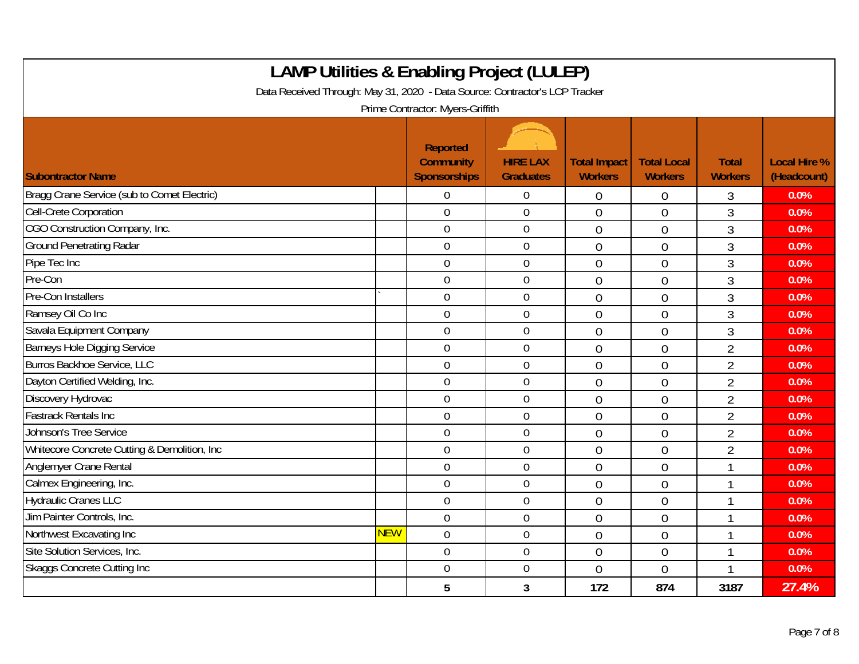| <b>LAMP Utilities &amp; Enabling Project (LULEP)</b><br>Data Received Through: May 31, 2020 - Data Source: Contractor's LCP Tracker<br>Prime Contractor: Myers-Griffith |            |                                                            |                                     |                                       |                                      |                                |                                    |  |  |
|-------------------------------------------------------------------------------------------------------------------------------------------------------------------------|------------|------------------------------------------------------------|-------------------------------------|---------------------------------------|--------------------------------------|--------------------------------|------------------------------------|--|--|
| <b>Subontractor Name</b>                                                                                                                                                |            | <b>Reported</b><br><b>Community</b><br><b>Sponsorships</b> | <b>HIRE LAX</b><br><b>Graduates</b> | <b>Total Impact</b><br><b>Workers</b> | <b>Total Local</b><br><b>Workers</b> | <b>Total</b><br><b>Workers</b> | <b>Local Hire %</b><br>(Headcount) |  |  |
| Bragg Crane Service (sub to Comet Electric)                                                                                                                             |            | 0                                                          | $\overline{0}$                      | $\theta$                              | $\theta$                             | 3                              | 0.0%                               |  |  |
| Cell-Crete Corporation                                                                                                                                                  |            | $\overline{0}$                                             | $\overline{0}$                      | $\overline{0}$                        | $\overline{0}$                       | 3                              | 0.0%                               |  |  |
| CGO Construction Company, Inc.                                                                                                                                          |            | $\mathbf 0$                                                | $\mathbf 0$                         | $\overline{0}$                        | $\overline{0}$                       | 3                              | 0.0%                               |  |  |
| <b>Ground Penetrating Radar</b>                                                                                                                                         |            | $\overline{0}$                                             | $\mathbf 0$                         | $\overline{0}$                        | $\theta$                             | 3                              | 0.0%                               |  |  |
| Pipe Tec Inc                                                                                                                                                            |            | $\mathbf 0$                                                | $\mathbf 0$                         | $\overline{0}$                        | $\overline{0}$                       | $\overline{3}$                 | 0.0%                               |  |  |
| Pre-Con                                                                                                                                                                 |            | $\overline{0}$                                             | $\mathbf 0$                         | $\overline{0}$                        | $\theta$                             | 3                              | 0.0%                               |  |  |
| Pre-Con Installers                                                                                                                                                      |            | $\mathbf 0$                                                | $\mathbf 0$                         | $\overline{0}$                        | $\overline{0}$                       | 3                              | 0.0%                               |  |  |
| Ramsey Oil Co Inc                                                                                                                                                       |            | $\mathbf 0$                                                | $\mathbf 0$                         | $\overline{0}$                        | $\overline{0}$                       | 3                              | 0.0%                               |  |  |
| Savala Equipment Company                                                                                                                                                |            | $\mathbf 0$                                                | $\mathbf 0$                         | $\overline{0}$                        | $\overline{0}$                       | 3                              | 0.0%                               |  |  |
| <b>Barneys Hole Digging Service</b>                                                                                                                                     |            | $\theta$                                                   | $\overline{0}$                      | $\overline{0}$                        | $\overline{0}$                       | $\overline{2}$                 | 0.0%                               |  |  |
| Burros Backhoe Service, LLC                                                                                                                                             |            | $\mathbf 0$                                                | $\mathbf 0$                         | $\overline{0}$                        | $\overline{0}$                       | $\overline{2}$                 | 0.0%                               |  |  |
| Dayton Certified Welding, Inc.                                                                                                                                          |            | $\overline{0}$                                             | $\mathbf 0$                         | $\overline{0}$                        | $\overline{0}$                       | $\overline{2}$                 | 0.0%                               |  |  |
| Discovery Hydrovac                                                                                                                                                      |            | $\overline{0}$                                             | $\overline{0}$                      | $\overline{0}$                        | $\overline{0}$                       | $\overline{2}$                 | 0.0%                               |  |  |
| <b>Fastrack Rentals Inc.</b>                                                                                                                                            |            | $\mathbf 0$                                                | $\mathbf 0$                         | $\overline{0}$                        | $\overline{0}$                       | $\overline{2}$                 | 0.0%                               |  |  |
| <b>Johnson's Tree Service</b>                                                                                                                                           |            | $\overline{0}$                                             | $\boldsymbol{0}$                    | $\overline{0}$                        | $\overline{0}$                       | $\overline{2}$                 | 0.0%                               |  |  |
| Whitecore Concrete Cutting & Demolition, Inc.                                                                                                                           |            | $\theta$                                                   | $\overline{0}$                      | $\overline{0}$                        | $\overline{0}$                       | $\overline{2}$                 | 0.0%                               |  |  |
| Anglemyer Crane Rental                                                                                                                                                  |            | $\mathbf 0$                                                | $\mathbf 0$                         | $\overline{0}$                        | $\overline{0}$                       | $\overline{1}$                 | 0.0%                               |  |  |
| Calmex Engineering, Inc.                                                                                                                                                |            | $\overline{0}$                                             | $\mathbf 0$                         | $\overline{0}$                        | $\overline{0}$                       | 1                              | 0.0%                               |  |  |
| <b>Hydraulic Cranes LLC</b>                                                                                                                                             |            | $\overline{0}$                                             | $\overline{0}$                      | $\overline{0}$                        | $\theta$                             |                                | 0.0%                               |  |  |
| Jim Painter Controls, Inc.                                                                                                                                              |            | $\mathbf 0$                                                | $\mathbf 0$                         | $\overline{0}$                        | $\overline{0}$                       | -1                             | 0.0%                               |  |  |
| Northwest Excavating Inc                                                                                                                                                | <b>NEW</b> | $\overline{0}$                                             | $\mathbf 0$                         | $\overline{0}$                        | $\theta$                             |                                | 0.0%                               |  |  |
| Site Solution Services, Inc.                                                                                                                                            |            | $\mathbf 0$                                                | $\boldsymbol{0}$                    | $\overline{0}$                        | $\mathbf 0$                          |                                | 0.0%                               |  |  |
| <b>Skaggs Concrete Cutting Inc</b>                                                                                                                                      |            | $\overline{0}$                                             | $\mathbf 0$                         | $\overline{0}$                        | $\overline{0}$                       | $\overline{\phantom{a}}$       | 0.0%                               |  |  |
|                                                                                                                                                                         |            | 5                                                          | 3                                   | 172                                   | 874                                  | 3187                           | 27.4%                              |  |  |